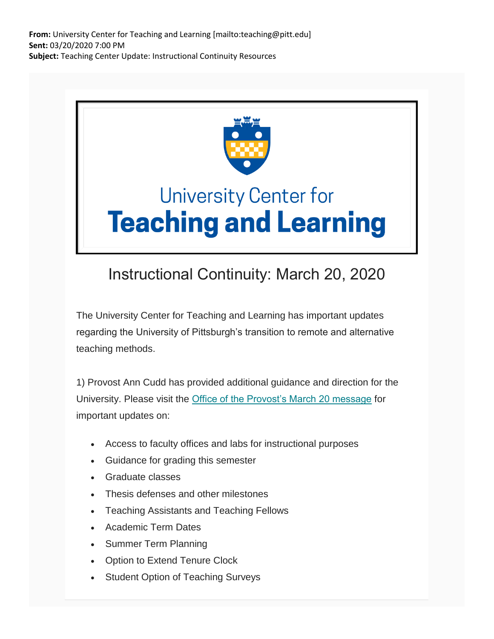**From:** University Center for Teaching and Learning [mailto:teaching@pitt.edu] **Sent:** 03/20/2020 7:00 PM **Subject:** Teaching Center Update: Instructional Continuity Resources



## Instructional Continuity: March 20, 2020

The University Center for Teaching and Learning has important updates regarding the University of Pittsburgh's transition to remote and alternative teaching methods.

1) Provost Ann Cudd has provided additional guidance and direction for the University. Please visit the [Office of the Provost's March 20 message](https://nam05.safelinks.protection.outlook.com/?url=https%3A%2F%2Fpitt.us11.list-manage.com%2Ftrack%2Fclick%3Fu%3D7ffe6d64cc382ff1672f20448%26id%3Dbb73d1b095%26e%3Dde6041e250&data=02%7C01%7Cjoeg%40pitt.edu%7Cc899b9cee06a4810340608d7cd23d34a%7C9ef9f489e0a04eeb87cc3a526112fd0d%7C1%7C0%7C637203426062311743&sdata=eftgHiQ%2FL1ktN6GjETeAzLxYCMmbPeXzDTztTsP%2FLg8%3D&reserved=0) for important updates on:

- Access to faculty offices and labs for instructional purposes
- Guidance for grading this semester
- Graduate classes
- Thesis defenses and other milestones
- Teaching Assistants and Teaching Fellows
- Academic Term Dates
- Summer Term Planning
- Option to Extend Tenure Clock
- Student Option of Teaching Surveys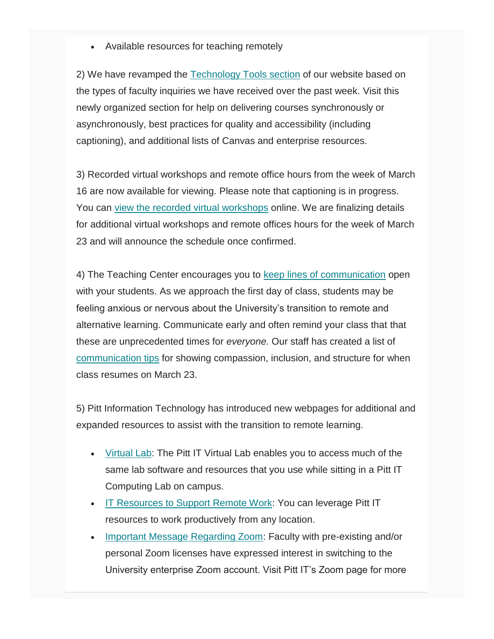Available resources for teaching remotely

2) We have revamped the [Technology Tools section](https://nam05.safelinks.protection.outlook.com/?url=https%3A%2F%2Fpitt.us11.list-manage.com%2Ftrack%2Fclick%3Fu%3D7ffe6d64cc382ff1672f20448%26id%3Db7059ae26e%26e%3Dde6041e250&data=02%7C01%7Cjoeg%40pitt.edu%7Cc899b9cee06a4810340608d7cd23d34a%7C9ef9f489e0a04eeb87cc3a526112fd0d%7C1%7C0%7C637203426062311743&sdata=ylJ60wAM2A2n3%2F%2BM5%2FDtKdS9g3d6OuwOiByt5F0mCSg%3D&reserved=0) of our website based on the types of faculty inquiries we have received over the past week. Visit this newly organized section for help on delivering courses synchronously or asynchronously, best practices for quality and accessibility (including captioning), and additional lists of Canvas and enterprise resources.

3) Recorded virtual workshops and remote office hours from the week of March 16 are now available for viewing. Please note that captioning is in progress. You can [view the recorded virtual workshops](https://nam05.safelinks.protection.outlook.com/?url=https%3A%2F%2Fpitt.us11.list-manage.com%2Ftrack%2Fclick%3Fu%3D7ffe6d64cc382ff1672f20448%26id%3D3e0cde5b7e%26e%3Dde6041e250&data=02%7C01%7Cjoeg%40pitt.edu%7Cc899b9cee06a4810340608d7cd23d34a%7C9ef9f489e0a04eeb87cc3a526112fd0d%7C1%7C0%7C637203426062321736&sdata=vFKLq%2BMil4KRVFzaQBzkiMkCaPvYfQUF1YFKR4KWs34%3D&reserved=0) online. We are finalizing details for additional virtual workshops and remote offices hours for the week of March 23 and will announce the schedule once confirmed.

4) The Teaching Center encourages you to [keep lines of communication](https://nam05.safelinks.protection.outlook.com/?url=https%3A%2F%2Fpitt.us11.list-manage.com%2Ftrack%2Fclick%3Fu%3D7ffe6d64cc382ff1672f20448%26id%3D60cdf81ac7%26e%3Dde6041e250&data=02%7C01%7Cjoeg%40pitt.edu%7Cc899b9cee06a4810340608d7cd23d34a%7C9ef9f489e0a04eeb87cc3a526112fd0d%7C1%7C0%7C637203426062321736&sdata=C64O0Q7fUi78QjO3MsSm0n7n6wTyP8anKDQ7NsdO7a0%3D&reserved=0) open with your students. As we approach the first day of class, students may be feeling anxious or nervous about the University's transition to remote and alternative learning. Communicate early and often remind your class that that these are unprecedented times for *everyone.* Our staff has created a list of [communication tips](https://nam05.safelinks.protection.outlook.com/?url=https%3A%2F%2Fpitt.us11.list-manage.com%2Ftrack%2Fclick%3Fu%3D7ffe6d64cc382ff1672f20448%26id%3D865ffcaa4c%26e%3Dde6041e250&data=02%7C01%7Cjoeg%40pitt.edu%7Cc899b9cee06a4810340608d7cd23d34a%7C9ef9f489e0a04eeb87cc3a526112fd0d%7C1%7C0%7C637203426062331732&sdata=axaDzeokCUL5x0uwCxX23%2FaQllZ3mBdNLevoIVdOeP0%3D&reserved=0) for showing compassion, inclusion, and structure for when class resumes on March 23.

5) Pitt Information Technology has introduced new webpages for additional and expanded resources to assist with the transition to remote learning.

- [Virtual Lab:](https://nam05.safelinks.protection.outlook.com/?url=https%3A%2F%2Fpitt.us11.list-manage.com%2Ftrack%2Fclick%3Fu%3D7ffe6d64cc382ff1672f20448%26id%3D851b28c6c9%26e%3Dde6041e250&data=02%7C01%7Cjoeg%40pitt.edu%7Cc899b9cee06a4810340608d7cd23d34a%7C9ef9f489e0a04eeb87cc3a526112fd0d%7C1%7C0%7C637203426062331732&sdata=mL5TTJqgwj%2FsZxr5yHUj8QfFw3pf4iqki4E0y9IQqAw%3D&reserved=0) The Pitt IT Virtual Lab enables you to access much of the same lab software and resources that you use while sitting in a Pitt IT Computing Lab on campus.
- [IT Resources to Support Remote Work:](https://nam05.safelinks.protection.outlook.com/?url=https%3A%2F%2Fpitt.us11.list-manage.com%2Ftrack%2Fclick%3Fu%3D7ffe6d64cc382ff1672f20448%26id%3D717c865c0f%26e%3Dde6041e250&data=02%7C01%7Cjoeg%40pitt.edu%7Cc899b9cee06a4810340608d7cd23d34a%7C9ef9f489e0a04eeb87cc3a526112fd0d%7C1%7C0%7C637203426062341725&sdata=yi6Ya8sSM9kr5A2VHd6o2z5isR4luNA%2FlVbWZrdlJW8%3D&reserved=0) You can leverage Pitt IT resources to work productively from any location.
- [Important Message Regarding Zoom:](https://nam05.safelinks.protection.outlook.com/?url=https%3A%2F%2Fpitt.us11.list-manage.com%2Ftrack%2Fclick%3Fu%3D7ffe6d64cc382ff1672f20448%26id%3D3322b9becc%26e%3Dde6041e250&data=02%7C01%7Cjoeg%40pitt.edu%7Cc899b9cee06a4810340608d7cd23d34a%7C9ef9f489e0a04eeb87cc3a526112fd0d%7C1%7C0%7C637203426062341725&sdata=8Zo9FeWymSL2kMVhbtCbdFpRup%2F%2BVxNl1GoGU4uWZhk%3D&reserved=0) Faculty with pre-existing and/or personal Zoom licenses have expressed interest in switching to the University enterprise Zoom account. Visit Pitt IT's Zoom page for more